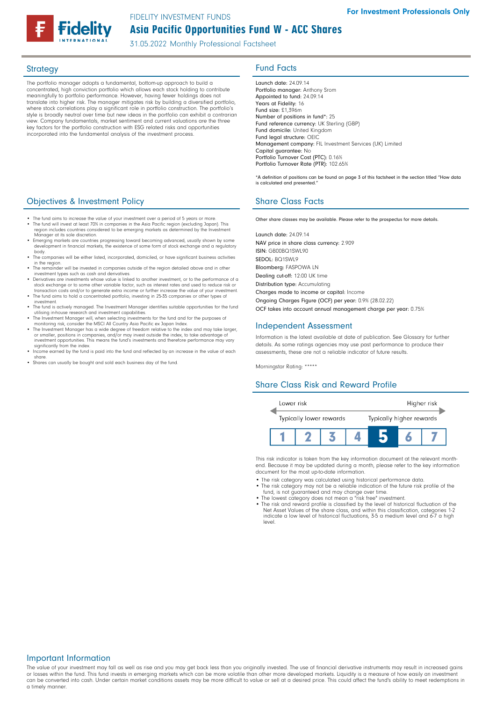# Asia Pacific Opportunities Fund W - ACC Shares FIDELITY INVESTMENT FUNDS

31.05.2022 Monthly Professional Factsheet

The portfolio manager adopts a fundamental, bottom-up approach to build a concentrated, high conviction portfolio which allows each stock holding to contribute meaningfully to portfolio performance. However, having fewer holdings does not translate into higher risk. The manager mitigates risk by building a diversified portfolio, where stock correlations play a significant role in portfolio construction. The portfolio's style is broadly neutral over time but new ideas in the portfolio can exhibit a contrarian view. Company fundamentals, market sentiment and current valuations are the three key factors for the portfolio construction with ESG related risks and opportunities incorporated into the fundamental analysis of the investment process.

# **Objectives & Investment Policy Share Class Facts** Share Class Facts

- The fund aims to increase the value of your investment over a period of 5 years or more. • The fund will invest at least 70% in companies in the Asia Pacific region (excluding Japan). This region includes countries considered to be emerging markets as determined by the Investment
- Manager at its sole discretion. • Emerging markets are countries progressing toward becoming advanced, usually shown by some development in financial markets, the existence of some form of stock exchange and a regulatory
- body. • The companies will be either listed, incorporated, domiciled, or have significant business activities in the region.
- The remainder will be invested in companies outside of the region detailed above and in other investment types such as cash and derivatives.
- Derivatives are investments whose value is linked to another investment, or to the performance of a stock exchange or to some other variable factor, such as interest rates and used to reduce risk or transaction costs and/or to generate extra income or further increase the value of your investment.
- The fund aims to hold a concentrated portfolio, investing in 25-35 companies or other types of investment.
- The fund is actively managed. The Investment Manager identifies suitable opportunities for the fund
- 
- Utilising in-house research and investment capabilities.<br>
 The Investment Manager will, when selecting investments for the fund and for the purposes of<br>
monitoring risk, consider the MSCI All Country Asia Pacific ex Japan investment opportunities. This means the fund's investments and therefore performance may vary
- significantly from the index. Income earned by the fund is paid into the fund and reflected by an increase in the value of each share.
- Shares can usually be bought and sold each business day of the fund.

# Strategy **Fund Facts**

Launch date: 24.09.14 Portfolio manager: Anthony Srom Appointed to fund: 24.09.14 Years at Fidelity: 16 Fund size: £1,396m Number of positions in fund\*: 25 Fund reference currency: UK Sterling (GBP) Fund domicile: United Kingdom Fund legal structure: OEIC Management company: FIL Investment Services (UK) Limited Capital guarantee: No Portfolio Turnover Cost (PTC): 0.16% Portfolio Turnover Rate (PTR): 102.65%

\*A definition of positions can be found on page 3 of this factsheet in the section titled "How data is calculated and presented."

Other share classes may be available. Please refer to the prospectus for more details.

Launch date: 24.09.14 NAV price in share class currency: 2.909 ISIN: GB00BQ1SWL90 SEDOL: BQ1SWL9 Bloomberg: FASPOWA LN Dealing cut-off: 12:00 UK time Distribution type: Accumulating Charges made to income or capital: Income Ongoing Charges Figure (OCF) per year: 0.9% (28.02.22) OCF takes into account annual management charge per year: 0.75%

### Independent Assessment

Information is the latest available at date of publication. See Glossary for further details. As some ratings agencies may use past performance to produce their assessments, these are not a reliable indicator of future results.

Morningstar Rating: \*\*\*\*\*

## Share Class Risk and Reward Profile



This risk indicator is taken from the key information document at the relevant monthend. Because it may be updated during a month, please refer to the key information document for the most up-to-date information.

- The risk category was calculated using historical performance data.
- The risk category may not be a reliable indication of the future risk profile of the fund, is not guaranteed and may change over time.
- The lowest category does not mean a "risk free" investment. The risk and reward profile is classified by the level of historical fluctuation of the
- Net Asset Values of the share class, and within this classification, categories 1-2 indicate a low level of historical fluctuations, 3-5 a medium level and 6-7 a high level.

### Important Information

The value of your investment may fall as well as rise and you may get back less than you originally invested. The use of financial derivative instruments may result in increased gains or losses within the fund. This fund invests in emerging markets which can be more volatile than other more developed markets. Liquidity is a measure of how easily an investment can be converted into cash. Under certain market conditions assets may be more difficult to value or sell at a desired price. This could affect the fund's ability to meet redemptions in a timely manner.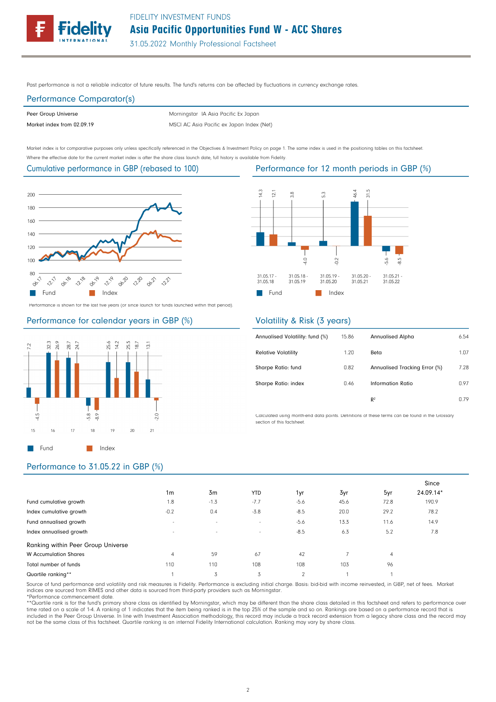Past performance is not a reliable indicator of future results. The fund's returns can be affected by fluctuations in currency exchange rates.

## Performance Comparator(s)

Peer Group Universe

Market index from 02.09.19 MSCI AC Asia Pacific ex Japan Index (Net) Morningstar IA Asia Pacific Ex Japan

Market index is for comparative purposes only unless specifically referenced in the Objectives & Investment Policy on page 1. The same index is used in the positioning tables on this factsheet. Where the effective date for the current market index is after the share class launch date, full history is available from Fidelity.

#### Cumulative performance in GBP (rebased to 100)



Performance is shown for the last five years (or since launch for funds launched within that period).

### Performance for calendar years in GBP (%)



# Performance for 12 month periods in GBP (%)



## Volatility & Risk (3 years)

| Annualised Volatility: fund (%) | 15.86 | <b>Annualised Alpha</b>       | 6.54 |
|---------------------------------|-------|-------------------------------|------|
| <b>Relative Volatility</b>      | 1.20  | Beta                          | 1.07 |
| Sharpe Ratio: fund              | 0.82  | Annualised Tracking Error (%) | 7.28 |
| Sharpe Ratio: index             | 0.46  | Information Ratio             | 0.97 |
|                                 |       | R <sup>2</sup>                | 0.79 |

Calculated using month-end data points. Definitions of these terms can be found in the Glossary section of this factsheet.

## Performance to 31.05.22 in GBP (%)

|                                    |                          |        |            |                |      |                | Since     |
|------------------------------------|--------------------------|--------|------------|----------------|------|----------------|-----------|
|                                    | 1 <sub>m</sub>           | 3m     | <b>YTD</b> | 1yr            | 3yr  | 5yr            | 24.09.14* |
| Fund cumulative growth             | 1.8                      | $-1.3$ | $-7.7$     | $-5.6$         | 45.6 | 72.8           | 190.9     |
| Index cumulative growth            | $-0.2$                   | 0.4    | $-3.8$     | $-8.5$         | 20.0 | 29.2           | 78.2      |
| Fund annualised growth             | $\overline{\phantom{a}}$ | $\sim$ | $\sim$     | $-5.6$         | 13.3 | 11.6           | 14.9      |
| Index annualised growth            | $\sim$                   | $\sim$ | $\sim$     | $-8.5$         | 6.3  | 5.2            | 7.8       |
| Ranking within Peer Group Universe |                          |        |            |                |      |                |           |
| <b>W</b> Accumulation Shares       | 4                        | 59     | 67         | 42             |      | $\overline{4}$ |           |
| Total number of funds              | 110                      | 110    | 108        | 108            | 103  | 96             |           |
| Quartile ranking**                 |                          | 3      | 3          | $\mathfrak{D}$ |      |                |           |

Source of fund performance and volatility and risk measures is Fidelity. Performance is excluding initial charge. Basis: bid-bid with income reinvested, in GBP, net of fees. Market indices are sourced from RIMES and other data is sourced from third-party providers such as Morningstar.

\*Performance commencement date.

\*\*Quartile rank is for the fund's primary share class as identified by Morningstar, which may be different than the share class detailed in this factsheet and refers to performance over time rated on a scale of 1-4. A ranking of 1 indicates that the item being ranked is in the top 25% of the sample and so on. Rankings are based on a performance record that is<br>included in the Peer Group Universe. In line w not be the same class of this factsheet. Quartile ranking is an internal Fidelity International calculation. Ranking may vary by share class.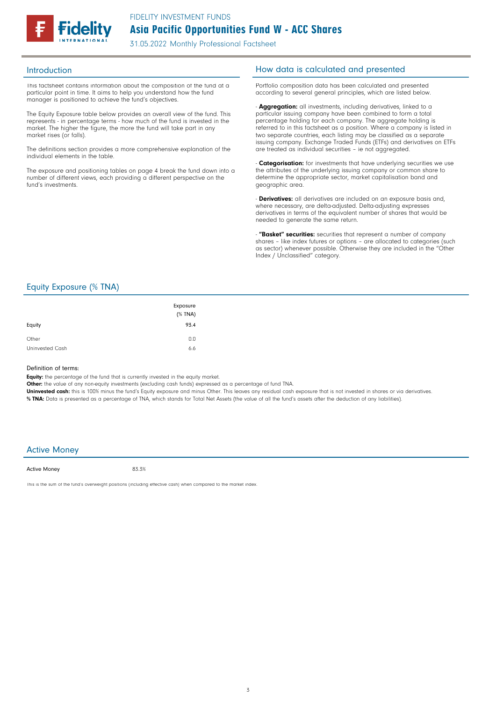

This factsheet contains information about the composition of the fund at a particular point in time. It aims to help you understand how the fund manager is positioned to achieve the fund's objectives.

The Equity Exposure table below provides an overall view of the fund. This represents - in percentage terms - how much of the fund is invested in the market. The higher the figure, the more the fund will take part in any market rises (or falls).

The definitions section provides a more comprehensive explanation of the individual elements in the table.

The exposure and positioning tables on page 4 break the fund down into a number of different views, each providing a different perspective on the fund's investments.

### Introduction **Introduction How data is calculated and presented**

Portfolio composition data has been calculated and presented according to several general principles, which are listed below.

- **Aggregation:** all investments, including derivatives, linked to a particular issuing company have been combined to form a total percentage holding for each company. The aggregate holding is referred to in this factsheet as a position. Where a company is listed in two separate countries, each listing may be classified as a separate issuing company. Exchange Traded Funds (ETFs) and derivatives on ETFs are treated as individual securities – ie not aggregated.

**Categorisation:** for investments that have underlying securities we use the attributes of the underlying issuing company or common share to determine the appropriate sector, market capitalisation band and geographic area.

- **Derivatives:** all derivatives are included on an exposure basis and, where necessary, are delta-adjusted. Delta-adjusting expresses derivatives in terms of the equivalent number of shares that would be needed to generate the same return.

"Basket" securities: securities that represent a number of company shares - like index futures or options - are allocated to categories (such as sector) whenever possible. Otherwise they are included in the "Other Index / Unclassified" category.

### Equity Exposure (% TNA)

| Equity          | Exposure<br>(% TNA)<br>93.4 |
|-----------------|-----------------------------|
| Other           | 0.0                         |
| Uninvested Cash | 6.6                         |

#### Definition of terms:

Equity: the percentage of the fund that is currently invested in the equity market.

Other: the value of any non-equity investments (excluding cash funds) expressed as a percentage of fund TNA.

Uninvested cash: this is 100% minus the fund's Equity exposure and minus Other. This leaves any residual cash exposure that is not invested in shares or via derivatives. % TNA: Data is presented as a percentage of TNA, which stands for Total Net Assets (the value of all the fund's assets after the deduction of any liabilities).

#### Active Money

Active Money

83.3%

This is the sum of the fund's overweight positions (including effective cash) when compared to the market index.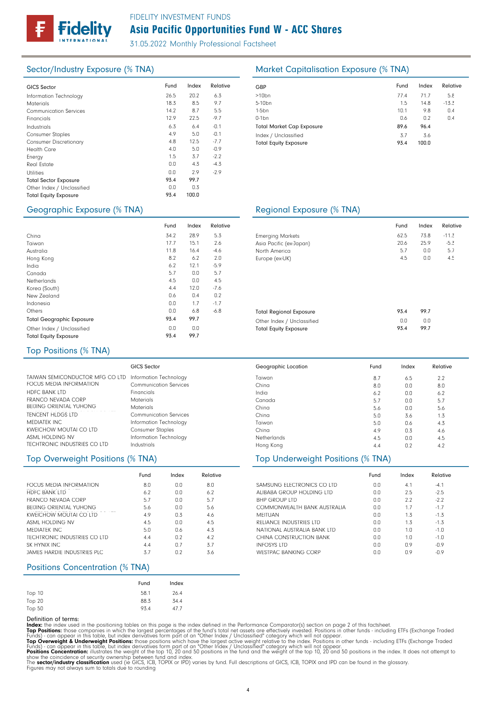

# Asia Pacific Opportunities Fund W - ACC Shares FIDELITY INVESTMENT FUNDS

31.05.2022 Monthly Professional Factsheet

| <b>GICS Sector</b>            | Fund | Index | Relative | GBP              |
|-------------------------------|------|-------|----------|------------------|
| Information Technology        | 26.5 | 20.2  | 6.3      | >10 <sub>k</sub> |
| <b>Materials</b>              | 18.3 | 8.5   | 9.7      | $5 - 10$         |
| <b>Communication Services</b> | 14.2 | 8.7   | 5.5      | $1-5b$           |
| Financials                    | 12.9 | 22.5  | $-9.7$   | $0-1b$           |
| Industrials                   | 6.3  | 6.4   | $-0.1$   | Tota             |
| <b>Consumer Staples</b>       | 4.9  | 5.0   | $-0.1$   | Inde             |
| <b>Consumer Discretionary</b> | 4.8  | 12.5  | $-7.7$   | Tota             |
| <b>Health Care</b>            | 4.0  | 5.0   | $-0.9$   |                  |
| Energy                        | 1.5  | 3.7   | $-2.2$   |                  |
| <b>Real Estate</b>            | 0.0  | 4.3   | $-4.3$   |                  |
| <b>Utilities</b>              | 0.0  | 2.9   | $-2.9$   |                  |
| <b>Total Sector Exposure</b>  | 93.4 | 99.7  |          |                  |
| Other Index / Unclassified    | 0.0  | 0.3   |          |                  |
| <b>Total Equity Exposure</b>  | 93.4 | 100.0 |          |                  |
|                               |      |       |          |                  |

# Sector/Industry Exposure (% TNA) Market Capitalisation Exposure (% TNA)

| Fund | Index | Relative |
|------|-------|----------|
| 77.4 | 71.7  | 5.8      |
| 1.5  | 14.8  | $-13.3$  |
| 10.1 | 9.8   | 0.4      |
| 0.6  | 0.2   | 0.4      |
| 89.6 | 96.4  |          |
| 3.7  | 3.6   |          |
| 93.4 | 100.0 |          |
|      |       |          |

### Geographic Exposure (% TNA) Regional Exposure (% TNA)

|                                  | Fund | Index | Relative |                 |
|----------------------------------|------|-------|----------|-----------------|
| China                            | 34.2 | 28.9  | 5.3      | Emergi          |
| Taiwan                           | 17.7 | 15.1  | 2.6      | Asia Pc         |
| Australia                        | 11.8 | 16.4  | $-4.6$   | North A         |
| Hong Kong                        | 8.2  | 6.2   | 2.0      | Europe          |
| India                            | 6.2  | 12.1  | $-5.9$   |                 |
| Canada                           | 5.7  | 0.0   | 5.7      |                 |
| Netherlands                      | 4.5  | 0.0   | 4.5      |                 |
| Korea (South)                    | 4.4  | 12.0  | $-7.6$   |                 |
| New Zealand                      | 0.6  | 0.4   | 0.2      |                 |
| Indonesia                        | 0.0  | 1.7   | $-1.7$   |                 |
| Others                           | 0.0  | 6.8   | $-6.8$   | Total R         |
| <b>Total Geographic Exposure</b> | 93.4 | 99.7  |          | Other In        |
| Other Index / Unclassified       | 0.0  | 0.0   |          | <b>Total Ed</b> |
| <b>Total Equity Exposure</b>     | 93.4 | 99.7  |          |                 |

|                                | Fund | Index | Relative |  |
|--------------------------------|------|-------|----------|--|
| <b>Emerging Markets</b>        | 62.5 | 73.8  | $-11.3$  |  |
| Asia Pacific (ex-Japan)        | 20.6 | 25.9  | $-5.3$   |  |
| North America                  | 5.7  | 0.0   | 5.7      |  |
| Europe (ex-UK)                 | 4.5  | 0.0   | 4.5      |  |
|                                |      |       |          |  |
| <b>Total Regional Exposure</b> | 93.4 | 99.7  |          |  |
|                                | 0.0  | 0.0   |          |  |
| Other Index / Unclassified     | 93.4 | 99.7  |          |  |
| <b>Total Equity Exposure</b>   |      |       |          |  |

 $0.0$  4.1  $-4.1$ Fund Index Relative

6.5 0.0 0.0 0.0 0.0 3.6 0.6 0.3 0.0 n<sub>2</sub>

Fund Index Relative

2.5  $2.2$ 1.7 1.3 1.3 1.0 1.0 0.9 0.9 -2.5  $-2.2$ -1.7 -1.3 -1.3  $-1.0$  $-1.0$ -0.9 -0.9

 $2.2$ 8.0 6.2 5.7 5.6 1.3 4.3 4.6 4.5 4.2

 $n<sub>0</sub>$  $0.0$ 0.0 0.0 0.0  $0.0$  $0.0$ 0.0 0.0

8.7 8.0 6.2 5.7 5.6 5.0 5.0 4.9 4.5 4.4

#### Top Positions (% TNA)

|                                                                                   | GICS Sector             |
|-----------------------------------------------------------------------------------|-------------------------|
| TAIWAN SEMICONDUCTOR MFG CO LTD Information Technology<br>FOCUS MEDIA INFORMATION | Communication Services  |
| <b>HDFC BANK LTD</b>                                                              | Financials              |
| FRANCO NEVADA CORP                                                                | Materials               |
| <b>BEIJING ORIENTAL YUHONG</b>                                                    | Materials               |
| <b>TENCENT HLDGS LTD</b>                                                          | Communication Services  |
| MEDIATEK INC.                                                                     | Information Technology  |
| <b>KWEICHOW MOUTAI CO LTD</b>                                                     | <b>Consumer Staples</b> |
| ASML HOLDING NV                                                                   | Information Technology  |
| TECHTRONIC INDUSTRIES CO LTD                                                      | Industrials             |

# Top Overweight Positions (% TNA) Top Underweight Positions (% TNA)

|                                | Fund | Index | Relative |
|--------------------------------|------|-------|----------|
| FOCUS MEDIA INFORMATION        | 8.0  | 0.0   | 8.0      |
| <b>HDFC BANK LTD</b>           | 6.2  | 0.0   | 6.2      |
| FRANCO NEVADA CORP             | 5.7  | 0.0   | 5.7      |
| <b>BEIJING ORIENTAL YUHONG</b> | 5.6  | 0.0   | 5.6      |
| KWFICHOW MOUTAL CO LTD         | 4.9  | 0.3   | 4.6      |
| ASML HOLDING NV                | 4.5  | 0.0   | 4.5      |
| MEDIATEK INC.                  | 5.0  | 0.6   | 4.3      |
| TECHTRONIC INDUSTRIES CO LTD   | 4.4  | 0.2   | 4.2      |
| SK HYNIX INC                   | 4.4  | 0.7   | 3.7      |
| JAMES HARDIE INDUSTRIES PLC.   | 3.7  | 0.2   | 3.6      |

### Positions Concentration (% TNA)

|        | Fund | Index |
|--------|------|-------|
| Top 10 | 58.1 | 26.4  |
| Top 20 | 88.3 | 34.4  |
| Top 50 | 93.4 | 47.7  |

#### Definition of terms:

Index: the index used in the positioning tables on this page is the index defined in the Performance Comparator(s) section on page 2 of this factsheet.

Top Positions: those companies in which the largest percentages of the fund's total net assets are effectively invested. Positions in other funds - including ETFs (Exchange Traded<br>Funds) - can appear in this table, but ind

Taiwan China India Canada China China Taiwan China Netherlands Hong Kong

Geographic Location

SAMSUNG ELECTRONICS CO LTD ALIBABA GROUP HOLDING LTD

COMMONWEALTH BANK AUSTRALIA

RELIANCE INDUSTRIES LTD NATIONAL AUSTRALIA BANK LTD CHINA CONSTRUCTION BANK

WESTPAC BANKING CORP

BHP GROUP LTD

MEITUAN

INFOSYS LTD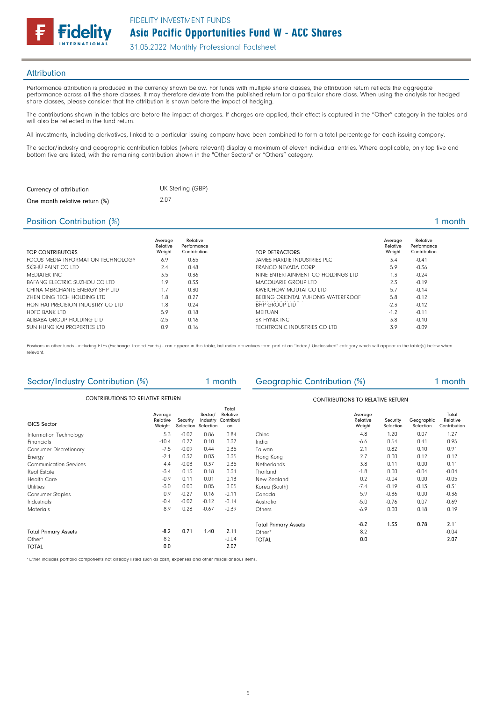

#### **Attribution**

Performance attribution is produced in the currency shown below. For funds with multiple share classes, the attribution return reflects the aggregate performance across all the share classes. It may therefore deviate from the published return for a particular share class. When using the analysis for hedged share classes, please consider that the attribution is shown before the impact of hedging.

The contributions shown in the tables are before the impact of charges. If charges are applied, their effect is captured in the "Other" category in the tables and will also be reflected in the fund return.

All investments, including derivatives, linked to a particular issuing company have been combined to form a total percentage for each issuing company.

The sector/industry and geographic contribution tables (where relevant) display a maximum of eleven individual entries. Where applicable, only top five and bottom five are listed, with the remaining contribution shown in the "Other Sectors" or "Others" category.

| Currency of attribution       | UK Sterling (GBP) |
|-------------------------------|-------------------|
| One month relative return (%) | 2.07              |

### Position Contribution (%) 1 month

| TOP CONTRIBUTORS                   | Average<br>Relative<br>Weight | Relative<br>Performance<br>Contribution | TOP DETRACTORS                     | Average<br>Relative<br>Weight | Relative<br>Performance<br>Contribution |
|------------------------------------|-------------------------------|-----------------------------------------|------------------------------------|-------------------------------|-----------------------------------------|
| FOCUS MEDIA INFORMATION TECHNOLOGY | 6.9                           | 0.65                                    | JAMES HARDIE INDUSTRIES PLC.       | 3.4                           | $-0.41$                                 |
| SKSHU PAINT CO LTD                 | 2.4                           | 0.48                                    | FRANCO NEVADA CORP                 | 5.9                           | $-0.36$                                 |
| MEDIATEK INC                       | 3.5                           | 0.36                                    | NINE ENTERTAINMENT CO HOLDINGS LTD | 1.3                           | $-0.24$                                 |
| BAFANG FLECTRIC SUZHOU CO LTD      | 1.9                           | 0.33                                    | MACQUARIE GROUP LTD                | 2.3                           | $-0.19$                                 |
| CHINA MERCHANTS ENERGY SHP LTD     | 1.7                           | 0.30                                    | KWEICHOW MOUTAL CO LTD             | 5.7                           | $-0.14$                                 |
| 7HEN DING TECH HOLDING LTD         | 1.8                           | 0.27                                    | BEIJING ORIENTAL YUHONG WATERFROOF | 5.8                           | $-0.12$                                 |
| HON HAI PRECISION INDUSTRY CO LTD  | 1.8                           | 0.24                                    | <b>BHP GROUP LTD</b>               | $-2.3$                        | $-0.12$                                 |
| <b>HDFC BANK LTD</b>               | 5.9                           | 0.18                                    | MFITUAN                            | $-1.2$                        | $-0.11$                                 |
| ALIBABA GROUP HOLDING LTD          | $-2.5$                        | 0.16                                    | SK HYNIX INC                       | 3.8                           | $-0.10$                                 |
| SUN HUNG KAI PROPERTIES LTD        | 0.9                           | 0.16                                    | TECHTRONIC INDUSTRIES CO LTD       | 3.9                           | $-0.09$                                 |

Positions in other funds - including ETFs (Exchange Traded Funds) - can appear in this table, but index derivatives form part of an "Index / Unclassified" category which will appear in the table(s) below when relevant.

| Sector/Industry Contribution (%)        |                               |          | 1 month                                    |                                       | <b>Geographic Contribution (%)</b>      |                               |                       | 1 month                 |                                   |  |
|-----------------------------------------|-------------------------------|----------|--------------------------------------------|---------------------------------------|-----------------------------------------|-------------------------------|-----------------------|-------------------------|-----------------------------------|--|
| <b>CONTRIBUTIONS TO RELATIVE RETURN</b> |                               |          |                                            |                                       | <b>CONTRIBUTIONS TO RELATIVE RETURN</b> |                               |                       |                         |                                   |  |
| <b>GICS Sector</b>                      | Average<br>Relative<br>Weight | Security | Sector/<br>Industry<br>Selection Selection | Total<br>Relative<br>Contributi<br>on |                                         | Average<br>Relative<br>Weight | Security<br>Selection | Geographic<br>Selection | Total<br>Relative<br>Contribution |  |
| Information Technology                  | 5.3                           | $-0.02$  | 0.86                                       | 0.84                                  | China                                   | 4.8                           | 1.20                  | 0.07                    | 1.27                              |  |
| Financials                              | $-10.4$                       | 0.27     | 0.10                                       | 0.37                                  | India                                   | $-6.6$                        | 0.54                  | 0.41                    | 0.95                              |  |
| <b>Consumer Discretionary</b>           | $-7.5$                        | $-0.09$  | 0.44                                       | 0.35                                  | Taiwan                                  | 2.1                           | 0.82                  | 0.10                    | 0.91                              |  |
| Energy                                  | $-2.1$                        | 0.32     | 0.03                                       | 0.35                                  | Hong Kong                               | 2.7                           | 0.00                  | 0.12                    | 0.12                              |  |
| <b>Communication Services</b>           | 4.4                           | $-0.03$  | 0.37                                       | 0.35                                  | Netherlands                             | 3.8                           | 0.11                  | 0.00                    | 0.11                              |  |
| Real Estate                             | $-3.4$                        | 0.13     | 0.18                                       | 0.31                                  | Thailand                                | $-1.8$                        | 0.00                  | $-0.04$                 | $-0.04$                           |  |
| <b>Health Care</b>                      | $-0.9$                        | 0.11     | 0.01                                       | 0.13                                  | New Zealand                             | 0.2                           | $-0.04$               | 0.00                    | $-0.05$                           |  |
| <b>Utilities</b>                        | $-3.0$                        | 0.00     | 0.05                                       | 0.05                                  | Korea (South)                           | $-7.4$                        | $-0.19$               | $-0.13$                 | $-0.31$                           |  |
| <b>Consumer Staples</b>                 | 0.9                           | $-0.27$  | 0.16                                       | $-0.11$                               | Canada                                  | 5.9                           | $-0.36$               | 0.00                    | $-0.36$                           |  |
| Industrials                             | $-0.4$                        | $-0.02$  | $-0.12$                                    | $-0.14$                               | Australia                               | $-5.0$                        | $-0.76$               | 0.07                    | $-0.69$                           |  |
| <b>Materials</b>                        | 8.9                           | 0.28     | $-0.67$                                    | $-0.39$                               | Others                                  | $-6.9$                        | 0.00                  | 0.18                    | 0.19                              |  |
|                                         |                               |          |                                            |                                       | <b>Total Primary Assets</b>             | $-8.2$                        | 1.33                  | 0.78                    | 2.11                              |  |
| <b>Total Primary Assets</b>             | $-8.2$                        | 0.71     | 1.40                                       | 2.11                                  | Other*                                  | 8.2                           |                       |                         | $-0.04$                           |  |
| Other*                                  | 8.2                           |          |                                            | $-0.04$                               | <b>TOTAL</b>                            | 0.0                           |                       |                         | 2.07                              |  |
| <b>TOTAL</b>                            | 0.0                           |          |                                            | 2.07                                  |                                         |                               |                       |                         |                                   |  |

\*Other includes portfolio components not already listed such as cash, expenses and other miscellaneous items.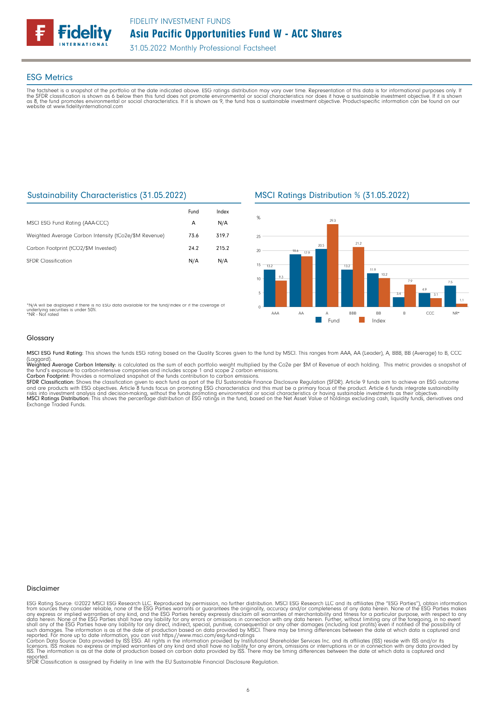

#### ESG Metrics

The factsheet is a snapshot of the portfolio at the date indicated above. ESG ratings distribution may vary over time. Representation of this data is for informational purposes only. If<br>the SFDR classification is shown as website at www.fidelityinternational.com

### Sustainability Characteristics (31.05.2022)

|                                                       | Fund | Index |
|-------------------------------------------------------|------|-------|
| MSCI ESG Fund Rating (AAA-CCC)                        | А    | N/A   |
| Weighted Average Carbon Intensity (tCo2e/\$M Revenue) | 73.6 | 319.7 |
| Carbon Footprint (tCO2/\$M Invested)                  | 24.2 | 215.2 |
| <b>SFDR Classification</b>                            | N/A  | N/A   |

MSCI Ratings Distribution % (31.05.2022)



\*N/A will be displayed if there is no ESG data available for the fund/index or if the coverage of underlying securities is under 50%. \*NR - Not rated

#### Glossary

MSCI ESG Fund Rating: This shows the funds ESG rating based on the Quality Scores given to the fund by MSCI. This ranges from AAA, AA (Leader), A, BBB, BB (Average) to B, CCC

(Laggard).<br>**Weighted Average Carbon Intensity**: is calculated as the sum of each portfolio weight multiplied by the Co2e per \$M of Revenue of each holding. This metric provides a snapshot o

the fund's exposure to carbon-intensive companies and includes scope 1 and scope 2 carbon emissions.<br>**Carbon Footprint**: Provides a normalized snapshot of the funds contribution to carbon emissions.<br>**SFDR Classification:** and are products with ESG objectives. Article 8 funds focus on promoting ESG characteristics and this must be a primary focus of the product. Article 6 funds integrate sustainability<br>risks into investment analysis and deci

#### Disclaimer

ESG Rating Source: ©2022 MSCI ESG Research LLC. Reproduced by permission, no further distribution. MSCI ESG Research LLC and its affiliates (the "ESG Parties"), obtain information<br>from sources they consider reliable, none

reported. SFDR Classification is assigned by Fidelity in line with the EU Sustainable Financial Disclosure Regulation.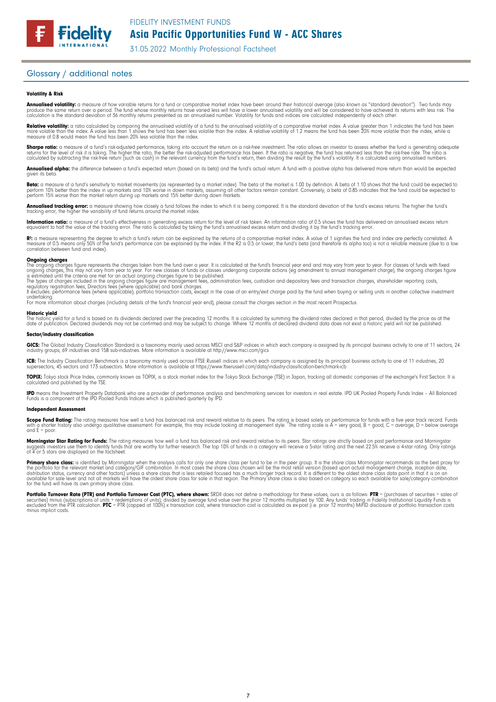# Asia Pacific Opportunities Fund W - ACC Shares

31.05.2022 Monthly Professional Factsheet

#### Glossary / additional notes

**Fidelity** 

#### Volatility & Risk

**Annualised volatility:** a measure of how variable returns for a fund or comparative market index have been around their historical average (also known as "standard deviation"). Two funds may<br>produce the same return over a calculation is the standard deviation of 36 monthly returns presented as an annualised number. Volatility for funds and indices are calculated independently of each other

**Relative volatility:** a ratio calculated by comparing the annualised volatility of a fund to the annualised volatility of a comparative market index. A value greater than 1 indicates the fund has been<br>more volatile than t measure of 0.8 would mean the fund has been 20% less volatile than the index.

**Sharpe ratio:** a measure of a fund's risk-adjusted performance, taking into account the return on a risk-free investment. The ratio allows an investor to assess whether the fund is generating adequate the tund is generati

Annualised alpha: the difference between a fund's expected return (based on its beta) and the fund's actual return. A fund with a positive alpha has delivered more return than would be expected given its beta

**Beta:** a measure of a fund's sensitivity to market movements (as represented by a market index). The beta of the market is 1.00 by definition. A beta of 1.10 shows that the fund could be expected to<br>perform 10% better tha perform 15% worse than the market return during up markets and 15% better during down markets.

**Annualised tracking error:** a measure showing how closely a tund tollows the index to which it is being compared. It is the standard deviation of the fund's excess returns. The higher the fund's<br>tracking error, the higher

**Information ratio:** a measure ot a tund's eftectiveness in generating excess return for the level of risk taken. An information ratio of U.5 shows the fund has delivered an annualised excess return<br>equivalent to half the

Rº: a measure representing the degree to which a fund's return can be explained by the returns of a comparative market index. A value of 1 signifies the fund and index are perfectly correlated. A<br>measure of 0.5 means only correlation between fund and index).

**Ongoing charges** figure represents the charges taken from the fund over a year. It is calculated at the fund's financial year end and may vary from year to year. For classes of funds with fixed ongoing charges figure repr

For more information about charges (including details of the fund's financial year end), please consult the charges section in the most recent Prospectus.

**Historic yield**<br>The historic yield for a fund is based on its dividends declared over the preceding 12 months. It is calculated by summing the dividend rates declared in that period, divided by the price as at the date of publication. Declared dividends may not be confirmed and may be subject to change. Where 12 months of declared dividend data does not exist a historic yield will not be published.

#### Sector/industry classification

GICS: The Global Industry Classification Standard is a taxonomy mainly used across MSCI and S&P indices in which each company is assigned by its principal business activity to one of 11 sectors, 24 industry groups, 69 industries and 158 sub-industries. More information is available at http://www.msci.com/gics

**ICB:** The Industry Classitication Benchmark is a taxonomy mainly used across FTSE Russell indices in which each company is assigned by its principal business activity to one of 11 industries, 20<br>supersectors, 45 sectors a

TOPIX: Tokyo stock Price Index, commonly known as TOPIX, is a stock market index for the Tokyo Stock Exchange (TSE) in Japan, tracking all domestic companies of the exchange's First Section. It is calculated and published by the TSE.

**IPD** means the Investment Property Databank who are a provider of performance analysis and benchmarking services for investors in real estate. IPD UK Pooled Property Funds Index - All Balanced<br>Funds is a component of the

#### Independent Assessment

**Scope Fund Rating:** The rating measures how well a fund has balanced risk and reward relative to its peers. The rating is based solely on performance for funds with a five year track record. Funds<br>with a shorter history a and  $E = poor$ 

**Morningstar Star Rating for Funds:** The rating measures how well a tund has balanced risk and reward relative to its peers. Star ratings are strictly based on past performance and Morningstar<br>suggests investors use them t

**Primary share class:** is identified by Morningstar when the analysis calls for only one share class per fund to be in the peer group. It is the share class Morningstar recommends as the best proxy for the best proxy for c for the fund will have its own primary share class.

Portfolio Turnover Rate (PTR) and Portfolio Turnover Cost (PTC), where shown: SRDII does not define a methodology for these values; ours is as follows: PTR = (purchases of securities + sales of<br>securities) minus (subscript minus implicit costs.